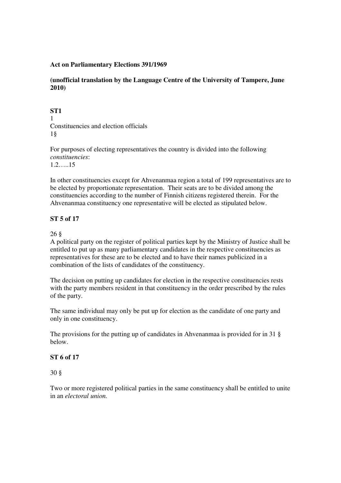### **Act on Parliamentary Elections 391/1969**

**(unofficial translation by the Language Centre of the University of Tampere, June 2010)**

# **ST1**

1 Constituencies and election officials 1§

For purposes of electing representatives the country is divided into the following *constituencies*: 1.2…..15

In other constituencies except for Ahvenanmaa region a total of 199 representatives are to be elected by proportionate representation. Their seats are to be divided among the constituencies according to the number of Finnish citizens registered therein. For the Ahvenanmaa constituency one representative will be elected as stipulated below.

## **ST 5 of 17**

26 §

A political party on the register of political parties kept by the Ministry of Justice shall be entitled to put up as many parliamentary candidates in the respective constituencies as representatives for these are to be elected and to have their names publicized in a combination of the lists of candidates of the constituency.

The decision on putting up candidates for election in the respective constituencies rests with the party members resident in that constituency in the order prescribed by the rules of the party.

The same individual may only be put up for election as the candidate of one party and only in one constituency.

The provisions for the putting up of candidates in Ahvenanmaa is provided for in 31 § below.

### **ST 6 of 17**

30 §

Two or more registered political parties in the same constituency shall be entitled to unite in an *electoral union.*